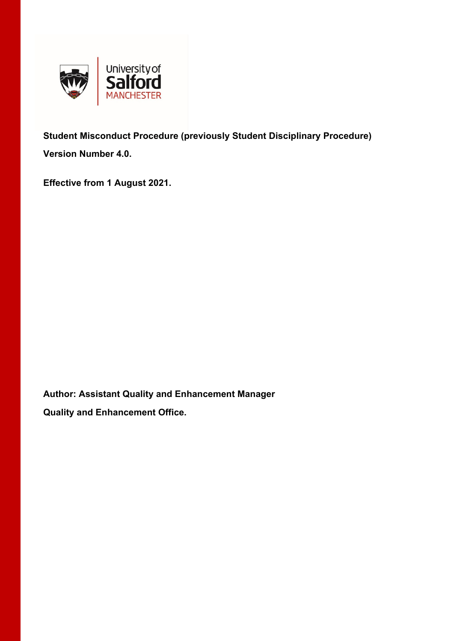

**Student Misconduct Procedure (previously Student Disciplinary Procedure) Version Number 4.0.** 

**Effective from 1 August 2021.** 

**Author: Assistant Quality and Enhancement Manager Quality and Enhancement Office.**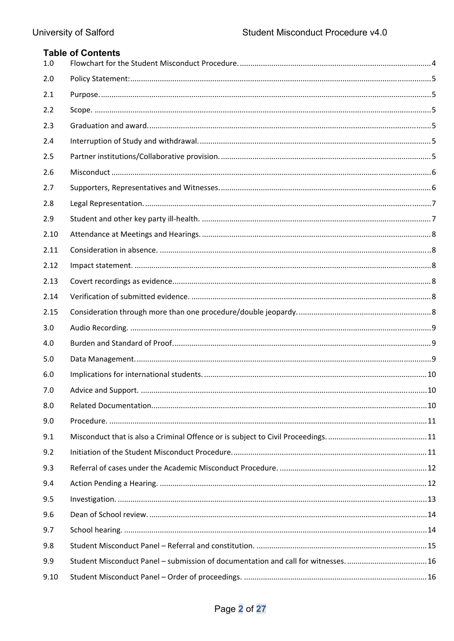| 1.0  | <b>Table of Contents</b> |  |
|------|--------------------------|--|
| 2.0  |                          |  |
| 2.1  |                          |  |
| 2.2  |                          |  |
| 2.3  |                          |  |
| 2.4  |                          |  |
| 2.5  |                          |  |
| 2.6  |                          |  |
| 2.7  |                          |  |
| 2.8  |                          |  |
| 2.9  |                          |  |
| 2.10 |                          |  |
| 2.11 |                          |  |
| 2.12 |                          |  |
| 2.13 |                          |  |
| 2.14 |                          |  |
| 2.15 |                          |  |
| 3.0  |                          |  |
| 4.0  |                          |  |
| 5.0  |                          |  |
| 6.0  |                          |  |
| 7.0  |                          |  |
| 8.0  |                          |  |
| 9.0  |                          |  |
| 9.1  |                          |  |
| 9.2  |                          |  |
| 9.3  |                          |  |
| 9.4  |                          |  |
| 9.5  |                          |  |
| 9.6  |                          |  |
| 9.7  |                          |  |
| 9.8  |                          |  |
| 9.9  |                          |  |
| 9.10 |                          |  |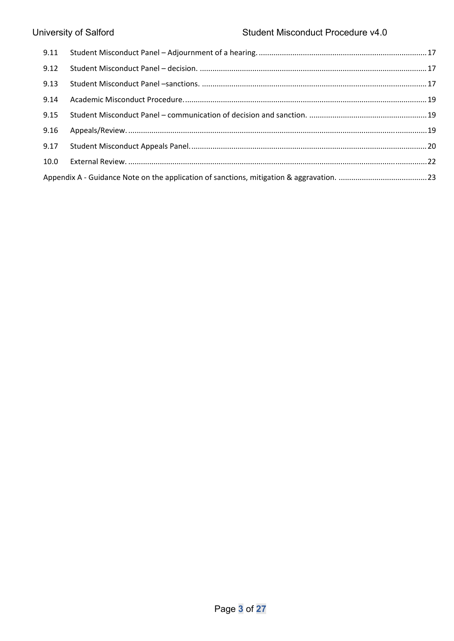| 9.12 |  |
|------|--|
| 9.13 |  |
| 9.14 |  |
|      |  |
| 9.16 |  |
|      |  |
| 10.0 |  |
|      |  |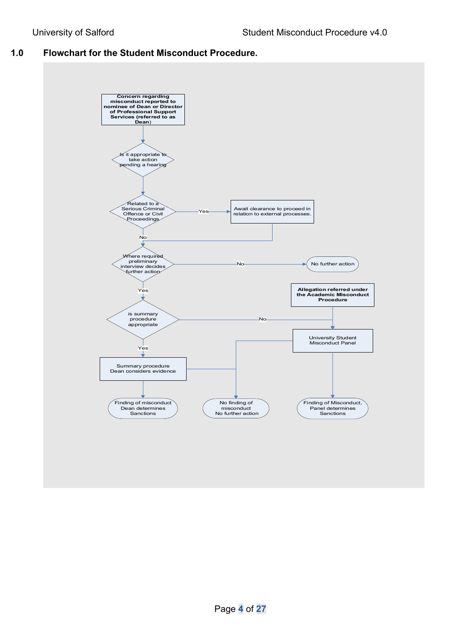## **1.0 Flowchart for the Student Misconduct Procedure.**

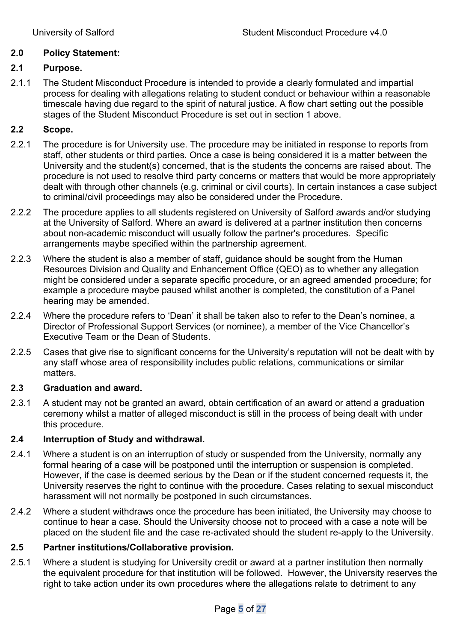# **2.0 Policy Statement:**

# **2.1 Purpose.**

2.1.1 The Student Misconduct Procedure is intended to provide a clearly formulated and impartial process for dealing with allegations relating to student conduct or behaviour within a reasonable timescale having due regard to the spirit of natural justice. A flow chart setting out the possible stages of the Student Misconduct Procedure is set out in section 1 above.

# **2.2 Scope.**

- 2.2.1 The procedure is for University use. The procedure may be initiated in response to reports from staff, other students or third parties. Once a case is being considered it is a matter between the University and the student(s) concerned, that is the students the concerns are raised about. The procedure is not used to resolve third party concerns or matters that would be more appropriately dealt with through other channels (e.g. criminal or civil courts). In certain instances a case subject to criminal/civil proceedings may also be considered under the Procedure.
- 2.2.2 The procedure applies to all students registered on University of Salford awards and/or studying at the University of Salford. Where an award is delivered at a partner institution then concerns about non-academic misconduct will usually follow the partner's procedures. Specific arrangements maybe specified within the partnership agreement.
- 2.2.3 Where the student is also a member of staff, guidance should be sought from the Human Resources Division and Quality and Enhancement Office (QEO) as to whether any allegation might be considered under a separate specific procedure, or an agreed amended procedure; for example a procedure maybe paused whilst another is completed, the constitution of a Panel hearing may be amended.
- 2.2.4 Where the procedure refers to 'Dean' it shall be taken also to refer to the Dean's nominee, a Director of Professional Support Services (or nominee), a member of the Vice Chancellor's Executive Team or the Dean of Students.
- 2.2.5 Cases that give rise to significant concerns for the University's reputation will not be dealt with by any staff whose area of responsibility includes public relations, communications or similar matters.

#### **2.3 Graduation and award.**

2.3.1 A student may not be granted an award, obtain certification of an award or attend a graduation ceremony whilst a matter of alleged misconduct is still in the process of being dealt with under this procedure.

# **2.4 Interruption of Study and withdrawal.**

- 2.4.1 Where a student is on an interruption of study or suspended from the University, normally any formal hearing of a case will be postponed until the interruption or suspension is completed. However, if the case is deemed serious by the Dean or if the student concerned requests it, the University reserves the right to continue with the procedure. Cases relating to sexual misconduct harassment will not normally be postponed in such circumstances.
- 2.4.2 Where a student withdraws once the procedure has been initiated, the University may choose to continue to hear a case. Should the University choose not to proceed with a case a note will be placed on the student file and the case re-activated should the student re-apply to the University.

# **2.5 Partner institutions/Collaborative provision.**

2.5.1 Where a student is studying for University credit or award at a partner institution then normally the equivalent procedure for that institution will be followed. However, the University reserves the right to take action under its own procedures where the allegations relate to detriment to any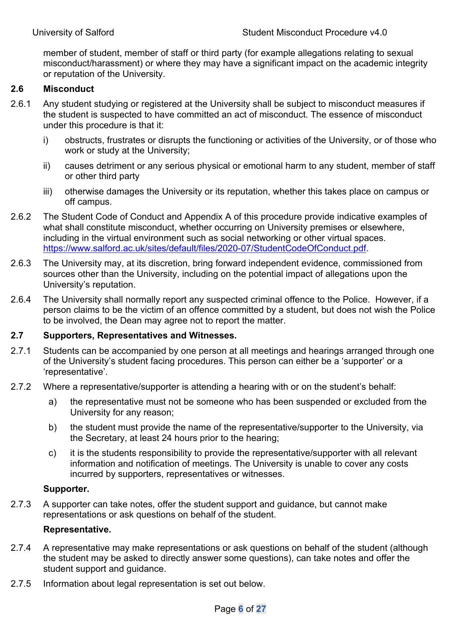member of student, member of staff or third party (for example allegations relating to sexual misconduct/harassment) or where they may have a significant impact on the academic integrity or reputation of the University.

# **2.6 Misconduct**

- 2.6.1 Any student studying or registered at the University shall be subject to misconduct measures if the student is suspected to have committed an act of misconduct. The essence of misconduct under this procedure is that it:
	- i) obstructs, frustrates or disrupts the functioning or activities of the University, or of those who work or study at the University;
	- ii) causes detriment or any serious physical or emotional harm to any student, member of staff or other third party
	- iii) otherwise damages the University or its reputation, whether this takes place on campus or off campus.
- 2.6.2 The Student Code of Conduct and Appendix A of this procedure provide indicative examples of what shall constitute misconduct, whether occurring on University premises or elsewhere, including in the virtual environment such as social networking or other virtual spaces. https://www.salford.ac.uk/sites/default/files/2020-07/StudentCodeOfConduct.pdf.
- 2.6.3 The University may, at its discretion, bring forward independent evidence, commissioned from sources other than the University, including on the potential impact of allegations upon the University's reputation.
- 2.6.4 The University shall normally report any suspected criminal offence to the Police. However, if a person claims to be the victim of an offence committed by a student, but does not wish the Police to be involved, the Dean may agree not to report the matter.

#### **2.7 Supporters, Representatives and Witnesses.**

- 2.7.1 Students can be accompanied by one person at all meetings and hearings arranged through one of the University's student facing procedures. This person can either be a 'supporter' or a 'representative'.
- 2.7.2 Where a representative/supporter is attending a hearing with or on the student's behalf:
	- a) the representative must not be someone who has been suspended or excluded from the University for any reason;
	- b) the student must provide the name of the representative/supporter to the University, via the Secretary, at least 24 hours prior to the hearing;
	- c) it is the students responsibility to provide the representative/supporter with all relevant information and notification of meetings. The University is unable to cover any costs incurred by supporters, representatives or witnesses.

#### **Supporter.**

2.7.3 A supporter can take notes, offer the student support and guidance, but cannot make representations or ask questions on behalf of the student.

#### **Representative.**

- 2.7.4 A representative may make representations or ask questions on behalf of the student (although the student may be asked to directly answer some questions), can take notes and offer the student support and guidance.
- 2.7.5 Information about legal representation is set out below.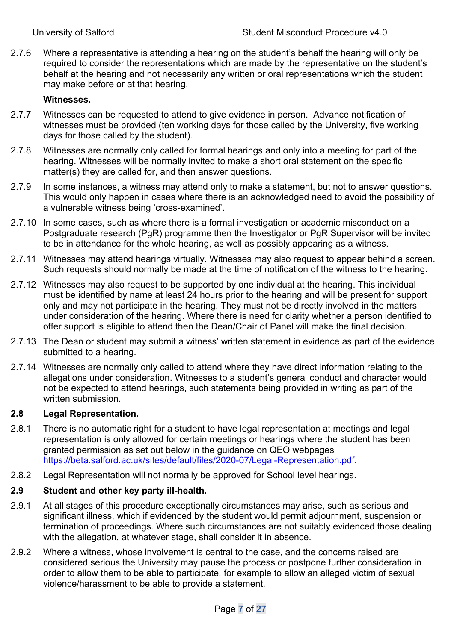2.7.6 Where a representative is attending a hearing on the student's behalf the hearing will only be required to consider the representations which are made by the representative on the student's behalf at the hearing and not necessarily any written or oral representations which the student may make before or at that hearing.

# **Witnesses.**

- 2.7.7 Witnesses can be requested to attend to give evidence in person. Advance notification of witnesses must be provided (ten working days for those called by the University, five working days for those called by the student).
- 2.7.8 Witnesses are normally only called for formal hearings and only into a meeting for part of the hearing. Witnesses will be normally invited to make a short oral statement on the specific matter(s) they are called for, and then answer questions.
- 2.7.9 In some instances, a witness may attend only to make a statement, but not to answer questions. This would only happen in cases where there is an acknowledged need to avoid the possibility of a vulnerable witness being 'cross-examined'.
- 2.7.10 In some cases, such as where there is a formal investigation or academic misconduct on a Postgraduate research (PgR) programme then the Investigator or PgR Supervisor will be invited to be in attendance for the whole hearing, as well as possibly appearing as a witness.
- 2.7.11 Witnesses may attend hearings virtually. Witnesses may also request to appear behind a screen. Such requests should normally be made at the time of notification of the witness to the hearing.
- 2.7.12 Witnesses may also request to be supported by one individual at the hearing. This individual must be identified by name at least 24 hours prior to the hearing and will be present for support only and may not participate in the hearing. They must not be directly involved in the matters under consideration of the hearing. Where there is need for clarity whether a person identified to offer support is eligible to attend then the Dean/Chair of Panel will make the final decision.
- 2.7.13 The Dean or student may submit a witness' written statement in evidence as part of the evidence submitted to a hearing.
- 2.7.14 Witnesses are normally only called to attend where they have direct information relating to the allegations under consideration. Witnesses to a student's general conduct and character would not be expected to attend hearings, such statements being provided in writing as part of the written submission.

#### **2.8 Legal Representation.**

- 2.8.1 There is no automatic right for a student to have legal representation at meetings and legal representation is only allowed for certain meetings or hearings where the student has been granted permission as set out below in the guidance on QEO webpages https://beta.salford.ac.uk/sites/default/files/2020-07/Legal-Representation.pdf.
- 2.8.2 Legal Representation will not normally be approved for School level hearings.

#### **2.9 Student and other key party ill-health.**

- 2.9.1 At all stages of this procedure exceptionally circumstances may arise, such as serious and significant illness, which if evidenced by the student would permit adjournment, suspension or termination of proceedings. Where such circumstances are not suitably evidenced those dealing with the allegation, at whatever stage, shall consider it in absence.
- 2.9.2 Where a witness, whose involvement is central to the case, and the concerns raised are considered serious the University may pause the process or postpone further consideration in order to allow them to be able to participate, for example to allow an alleged victim of sexual violence/harassment to be able to provide a statement.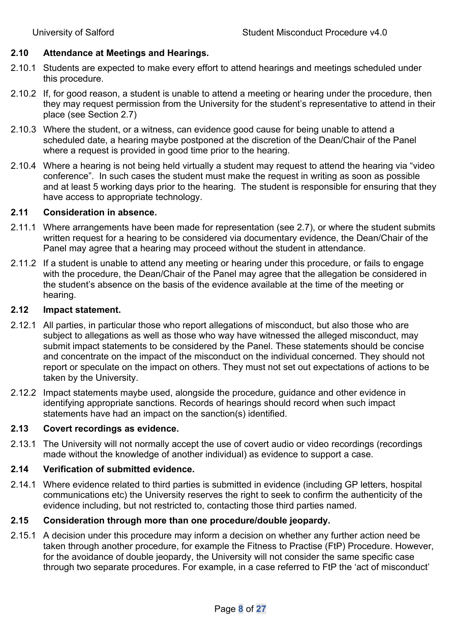## **2.10 Attendance at Meetings and Hearings.**

- 2.10.1 Students are expected to make every effort to attend hearings and meetings scheduled under this procedure.
- 2.10.2 If, for good reason, a student is unable to attend a meeting or hearing under the procedure, then they may request permission from the University for the student's representative to attend in their place (see Section 2.7)
- 2.10.3 Where the student, or a witness, can evidence good cause for being unable to attend a scheduled date, a hearing maybe postponed at the discretion of the Dean/Chair of the Panel where a request is provided in good time prior to the hearing.
- 2.10.4 Where a hearing is not being held virtually a student may request to attend the hearing via "video conference". In such cases the student must make the request in writing as soon as possible and at least 5 working days prior to the hearing. The student is responsible for ensuring that they have access to appropriate technology.

#### **2.11 Consideration in absence.**

- 2.11.1 Where arrangements have been made for representation (see 2.7), or where the student submits written request for a hearing to be considered via documentary evidence, the Dean/Chair of the Panel may agree that a hearing may proceed without the student in attendance.
- 2.11.2 If a student is unable to attend any meeting or hearing under this procedure, or fails to engage with the procedure, the Dean/Chair of the Panel may agree that the allegation be considered in the student's absence on the basis of the evidence available at the time of the meeting or hearing.

#### **2.12 Impact statement.**

- 2.12.1 All parties, in particular those who report allegations of misconduct, but also those who are subject to allegations as well as those who way have witnessed the alleged misconduct, may submit impact statements to be considered by the Panel. These statements should be concise and concentrate on the impact of the misconduct on the individual concerned. They should not report or speculate on the impact on others. They must not set out expectations of actions to be taken by the University.
- 2.12.2 Impact statements maybe used, alongside the procedure, guidance and other evidence in identifying appropriate sanctions. Records of hearings should record when such impact statements have had an impact on the sanction(s) identified.

#### **2.13 Covert recordings as evidence.**

2.13.1 The University will not normally accept the use of covert audio or video recordings (recordings made without the knowledge of another individual) as evidence to support a case.

#### **2.14 Verification of submitted evidence.**

2.14.1 Where evidence related to third parties is submitted in evidence (including GP letters, hospital communications etc) the University reserves the right to seek to confirm the authenticity of the evidence including, but not restricted to, contacting those third parties named.

#### **2.15 Consideration through more than one procedure/double jeopardy.**

2.15.1 A decision under this procedure may inform a decision on whether any further action need be taken through another procedure, for example the Fitness to Practise (FtP) Procedure. However, for the avoidance of double jeopardy, the University will not consider the same specific case through two separate procedures. For example, in a case referred to FtP the 'act of misconduct'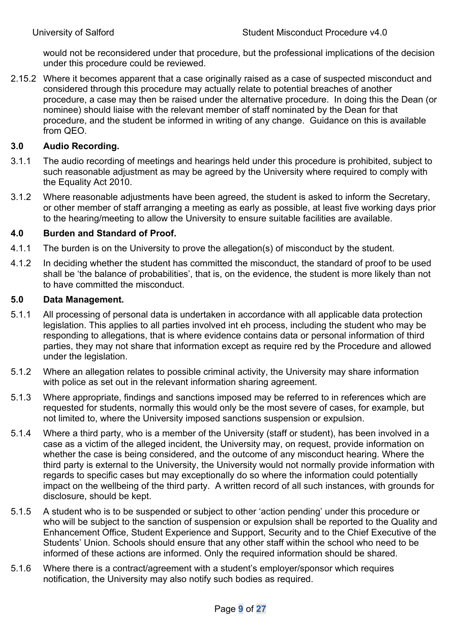would not be reconsidered under that procedure, but the professional implications of the decision under this procedure could be reviewed.

2.15.2 Where it becomes apparent that a case originally raised as a case of suspected misconduct and considered through this procedure may actually relate to potential breaches of another procedure, a case may then be raised under the alternative procedure. In doing this the Dean (or nominee) should liaise with the relevant member of staff nominated by the Dean for that procedure, and the student be informed in writing of any change. Guidance on this is available from QEO.

# **3.0 Audio Recording.**

- 3.1.1 The audio recording of meetings and hearings held under this procedure is prohibited, subject to such reasonable adjustment as may be agreed by the University where required to comply with the Equality Act 2010.
- 3.1.2 Where reasonable adjustments have been agreed, the student is asked to inform the Secretary, or other member of staff arranging a meeting as early as possible, at least five working days prior to the hearing/meeting to allow the University to ensure suitable facilities are available.

#### **4.0 Burden and Standard of Proof.**

- 4.1.1 The burden is on the University to prove the allegation(s) of misconduct by the student.
- 4.1.2 In deciding whether the student has committed the misconduct, the standard of proof to be used shall be 'the balance of probabilities', that is, on the evidence, the student is more likely than not to have committed the misconduct.

#### **5.0 Data Management.**

- 5.1.1 All processing of personal data is undertaken in accordance with all applicable data protection legislation. This applies to all parties involved int eh process, including the student who may be responding to allegations, that is where evidence contains data or personal information of third parties, they may not share that information except as require red by the Procedure and allowed under the legislation.
- 5.1.2 Where an allegation relates to possible criminal activity, the University may share information with police as set out in the relevant information sharing agreement.
- 5.1.3 Where appropriate, findings and sanctions imposed may be referred to in references which are requested for students, normally this would only be the most severe of cases, for example, but not limited to, where the University imposed sanctions suspension or expulsion.
- 5.1.4 Where a third party, who is a member of the University (staff or student), has been involved in a case as a victim of the alleged incident, the University may, on request, provide information on whether the case is being considered, and the outcome of any misconduct hearing. Where the third party is external to the University, the University would not normally provide information with regards to specific cases but may exceptionally do so where the information could potentially impact on the wellbeing of the third party. A written record of all such instances, with grounds for disclosure, should be kept.
- 5.1.5 A student who is to be suspended or subject to other 'action pending' under this procedure or who will be subject to the sanction of suspension or expulsion shall be reported to the Quality and Enhancement Office, Student Experience and Support, Security and to the Chief Executive of the Students' Union. Schools should ensure that any other staff within the school who need to be informed of these actions are informed. Only the required information should be shared.
- 5.1.6 Where there is a contract/agreement with a student's employer/sponsor which requires notification, the University may also notify such bodies as required.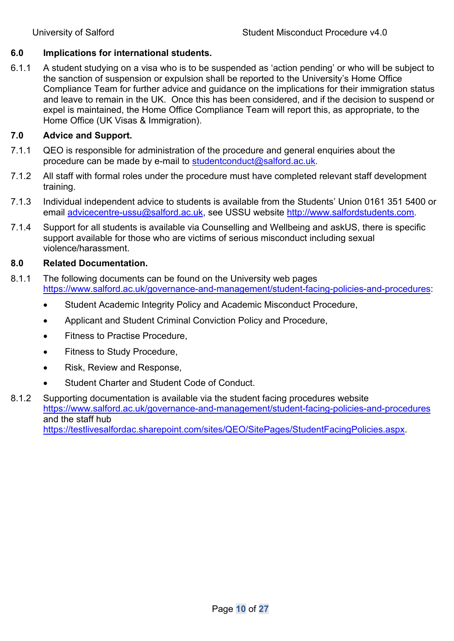# **6.0 Implications for international students.**

6.1.1 A student studying on a visa who is to be suspended as 'action pending' or who will be subject to the sanction of suspension or expulsion shall be reported to the University's Home Office Compliance Team for further advice and guidance on the implications for their immigration status and leave to remain in the UK. Once this has been considered, and if the decision to suspend or expel is maintained, the Home Office Compliance Team will report this, as appropriate, to the Home Office (UK Visas & Immigration).

# **7.0 Advice and Support.**

- 7.1.1 QEO is responsible for administration of the procedure and general enquiries about the procedure can be made by e-mail to studentconduct@salford.ac.uk.
- 7.1.2 All staff with formal roles under the procedure must have completed relevant staff development training.
- 7.1.3 Individual independent advice to students is available from the Students' Union 0161 351 5400 or email advicecentre-ussu@salford.ac.uk, see USSU website http://www.salfordstudents.com.
- 7.1.4 Support for all students is available via Counselling and Wellbeing and askUS, there is specific support available for those who are victims of serious misconduct including sexual violence/harassment.

#### **8.0 Related Documentation.**

- 8.1.1 The following documents can be found on the University web pages https://www.salford.ac.uk/governance-and-management/student-facing-policies-and-procedures:
	- Student Academic Integrity Policy and Academic Misconduct Procedure,
	- Applicant and Student Criminal Conviction Policy and Procedure,
	- Fitness to Practise Procedure,
	- Fitness to Study Procedure,
	- Risk, Review and Response,
	- Student Charter and Student Code of Conduct.
- 8.1.2 Supporting documentation is available via the student facing procedures website https://www.salford.ac.uk/governance-and-management/student-facing-policies-and-procedures and the staff hub https://testlivesalfordac.sharepoint.com/sites/QEO/SitePages/StudentFacingPolicies.aspx.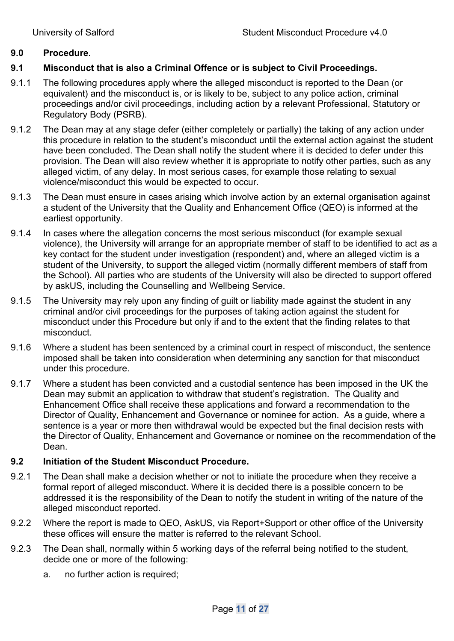#### **9.0 Procedure.**

# **9.1 Misconduct that is also a Criminal Offence or is subject to Civil Proceedings.**

- 9.1.1 The following procedures apply where the alleged misconduct is reported to the Dean (or equivalent) and the misconduct is, or is likely to be, subject to any police action, criminal proceedings and/or civil proceedings, including action by a relevant Professional, Statutory or Regulatory Body (PSRB).
- 9.1.2 The Dean may at any stage defer (either completely or partially) the taking of any action under this procedure in relation to the student's misconduct until the external action against the student have been concluded. The Dean shall notify the student where it is decided to defer under this provision. The Dean will also review whether it is appropriate to notify other parties, such as any alleged victim, of any delay. In most serious cases, for example those relating to sexual violence/misconduct this would be expected to occur.
- 9.1.3 The Dean must ensure in cases arising which involve action by an external organisation against a student of the University that the Quality and Enhancement Office (QEO) is informed at the earliest opportunity.
- 9.1.4 In cases where the allegation concerns the most serious misconduct (for example sexual violence), the University will arrange for an appropriate member of staff to be identified to act as a key contact for the student under investigation (respondent) and, where an alleged victim is a student of the University, to support the alleged victim (normally different members of staff from the School). All parties who are students of the University will also be directed to support offered by askUS, including the Counselling and Wellbeing Service.
- 9.1.5 The University may rely upon any finding of guilt or liability made against the student in any criminal and/or civil proceedings for the purposes of taking action against the student for misconduct under this Procedure but only if and to the extent that the finding relates to that misconduct.
- 9.1.6 Where a student has been sentenced by a criminal court in respect of misconduct, the sentence imposed shall be taken into consideration when determining any sanction for that misconduct under this procedure.
- 9.1.7 Where a student has been convicted and a custodial sentence has been imposed in the UK the Dean may submit an application to withdraw that student's registration. The Quality and Enhancement Office shall receive these applications and forward a recommendation to the Director of Quality, Enhancement and Governance or nominee for action. As a guide, where a sentence is a year or more then withdrawal would be expected but the final decision rests with the Director of Quality, Enhancement and Governance or nominee on the recommendation of the Dean.

#### **9.2 Initiation of the Student Misconduct Procedure.**

- 9.2.1 The Dean shall make a decision whether or not to initiate the procedure when they receive a formal report of alleged misconduct. Where it is decided there is a possible concern to be addressed it is the responsibility of the Dean to notify the student in writing of the nature of the alleged misconduct reported.
- 9.2.2 Where the report is made to QEO, AskUS, via Report+Support or other office of the University these offices will ensure the matter is referred to the relevant School.
- 9.2.3 The Dean shall, normally within 5 working days of the referral being notified to the student, decide one or more of the following:
	- a. no further action is required;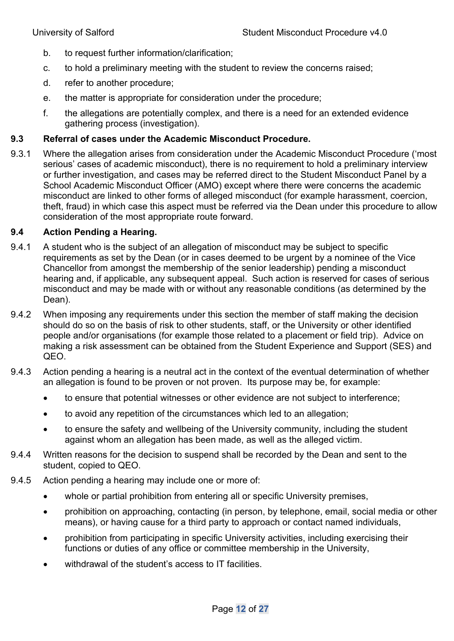- b. to request further information/clarification;
- c. to hold a preliminary meeting with the student to review the concerns raised;
- d. refer to another procedure;
- e. the matter is appropriate for consideration under the procedure;
- f. the allegations are potentially complex, and there is a need for an extended evidence gathering process (investigation).

#### **9.3 Referral of cases under the Academic Misconduct Procedure.**

9.3.1 Where the allegation arises from consideration under the Academic Misconduct Procedure ('most serious' cases of academic misconduct), there is no requirement to hold a preliminary interview or further investigation, and cases may be referred direct to the Student Misconduct Panel by a School Academic Misconduct Officer (AMO) except where there were concerns the academic misconduct are linked to other forms of alleged misconduct (for example harassment, coercion, theft, fraud) in which case this aspect must be referred via the Dean under this procedure to allow consideration of the most appropriate route forward.

#### **9.4 Action Pending a Hearing.**

- 9.4.1 A student who is the subject of an allegation of misconduct may be subject to specific requirements as set by the Dean (or in cases deemed to be urgent by a nominee of the Vice Chancellor from amongst the membership of the senior leadership) pending a misconduct hearing and, if applicable, any subsequent appeal. Such action is reserved for cases of serious misconduct and may be made with or without any reasonable conditions (as determined by the Dean).
- 9.4.2 When imposing any requirements under this section the member of staff making the decision should do so on the basis of risk to other students, staff, or the University or other identified people and/or organisations (for example those related to a placement or field trip). Advice on making a risk assessment can be obtained from the Student Experience and Support (SES) and QEO.
- 9.4.3 Action pending a hearing is a neutral act in the context of the eventual determination of whether an allegation is found to be proven or not proven. Its purpose may be, for example:
	- to ensure that potential witnesses or other evidence are not subject to interference;
	- to avoid any repetition of the circumstances which led to an allegation;
	- to ensure the safety and wellbeing of the University community, including the student against whom an allegation has been made, as well as the alleged victim.
- 9.4.4 Written reasons for the decision to suspend shall be recorded by the Dean and sent to the student, copied to QEO.
- 9.4.5 Action pending a hearing may include one or more of:
	- whole or partial prohibition from entering all or specific University premises,
	- prohibition on approaching, contacting (in person, by telephone, email, social media or other means), or having cause for a third party to approach or contact named individuals,
	- prohibition from participating in specific University activities, including exercising their functions or duties of any office or committee membership in the University,
	- withdrawal of the student's access to IT facilities.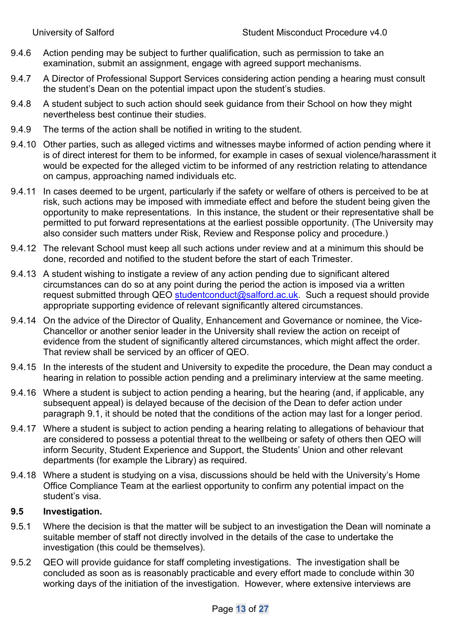- 9.4.6 Action pending may be subject to further qualification, such as permission to take an examination, submit an assignment, engage with agreed support mechanisms.
- 9.4.7 A Director of Professional Support Services considering action pending a hearing must consult the student's Dean on the potential impact upon the student's studies.
- 9.4.8 A student subject to such action should seek guidance from their School on how they might nevertheless best continue their studies.
- 9.4.9 The terms of the action shall be notified in writing to the student.
- 9.4.10 Other parties, such as alleged victims and witnesses maybe informed of action pending where it is of direct interest for them to be informed, for example in cases of sexual violence/harassment it would be expected for the alleged victim to be informed of any restriction relating to attendance on campus, approaching named individuals etc.
- 9.4.11 In cases deemed to be urgent, particularly if the safety or welfare of others is perceived to be at risk, such actions may be imposed with immediate effect and before the student being given the opportunity to make representations. In this instance, the student or their representative shall be permitted to put forward representations at the earliest possible opportunity. (The University may also consider such matters under Risk, Review and Response policy and procedure.)
- 9.4.12 The relevant School must keep all such actions under review and at a minimum this should be done, recorded and notified to the student before the start of each Trimester.
- 9.4.13 A student wishing to instigate a review of any action pending due to significant altered circumstances can do so at any point during the period the action is imposed via a written request submitted through QEO studentconduct@salford.ac.uk. Such a request should provide appropriate supporting evidence of relevant significantly altered circumstances.
- 9.4.14 On the advice of the Director of Quality, Enhancement and Governance or nominee, the Vice-Chancellor or another senior leader in the University shall review the action on receipt of evidence from the student of significantly altered circumstances, which might affect the order. That review shall be serviced by an officer of QEO.
- 9.4.15 In the interests of the student and University to expedite the procedure, the Dean may conduct a hearing in relation to possible action pending and a preliminary interview at the same meeting.
- 9.4.16 Where a student is subject to action pending a hearing, but the hearing (and, if applicable, any subsequent appeal) is delayed because of the decision of the Dean to defer action under paragraph 9.1, it should be noted that the conditions of the action may last for a longer period.
- 9.4.17 Where a student is subject to action pending a hearing relating to allegations of behaviour that are considered to possess a potential threat to the wellbeing or safety of others then QEO will inform Security, Student Experience and Support, the Students' Union and other relevant departments (for example the Library) as required.
- 9.4.18 Where a student is studying on a visa, discussions should be held with the University's Home Office Compliance Team at the earliest opportunity to confirm any potential impact on the student's visa.

# **9.5 Investigation.**

- 9.5.1 Where the decision is that the matter will be subject to an investigation the Dean will nominate a suitable member of staff not directly involved in the details of the case to undertake the investigation (this could be themselves).
- 9.5.2 QEO will provide guidance for staff completing investigations. The investigation shall be concluded as soon as is reasonably practicable and every effort made to conclude within 30 working days of the initiation of the investigation. However, where extensive interviews are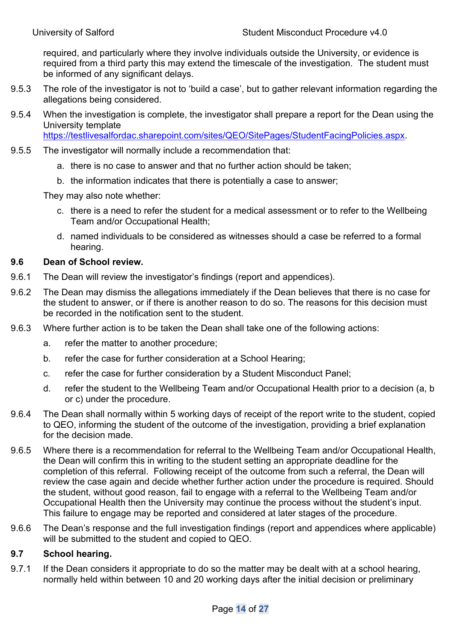required, and particularly where they involve individuals outside the University, or evidence is required from a third party this may extend the timescale of the investigation. The student must be informed of any significant delays.

- 9.5.3 The role of the investigator is not to 'build a case', but to gather relevant information regarding the allegations being considered.
- 9.5.4 When the investigation is complete, the investigator shall prepare a report for the Dean using the University template

https://testlivesalfordac.sharepoint.com/sites/QEO/SitePages/StudentFacingPolicies.aspx.

- 9.5.5 The investigator will normally include a recommendation that:
	- a. there is no case to answer and that no further action should be taken;
	- b. the information indicates that there is potentially a case to answer;

They may also note whether:

- c. there is a need to refer the student for a medical assessment or to refer to the Wellbeing Team and/or Occupational Health;
- d. named individuals to be considered as witnesses should a case be referred to a formal hearing.

#### **9.6 Dean of School review.**

- 9.6.1 The Dean will review the investigator's findings (report and appendices).
- 9.6.2 The Dean may dismiss the allegations immediately if the Dean believes that there is no case for the student to answer, or if there is another reason to do so. The reasons for this decision must be recorded in the notification sent to the student.
- 9.6.3 Where further action is to be taken the Dean shall take one of the following actions:
	- a. refer the matter to another procedure;
	- b. refer the case for further consideration at a School Hearing;
	- c. refer the case for further consideration by a Student Misconduct Panel;
	- d. refer the student to the Wellbeing Team and/or Occupational Health prior to a decision (a, b or c) under the procedure.
- 9.6.4 The Dean shall normally within 5 working days of receipt of the report write to the student, copied to QEO, informing the student of the outcome of the investigation, providing a brief explanation for the decision made.
- 9.6.5 Where there is a recommendation for referral to the Wellbeing Team and/or Occupational Health, the Dean will confirm this in writing to the student setting an appropriate deadline for the completion of this referral. Following receipt of the outcome from such a referral, the Dean will review the case again and decide whether further action under the procedure is required. Should the student, without good reason, fail to engage with a referral to the Wellbeing Team and/or Occupational Health then the University may continue the process without the student's input. This failure to engage may be reported and considered at later stages of the procedure.
- 9.6.6 The Dean's response and the full investigation findings (report and appendices where applicable) will be submitted to the student and copied to QEO.

#### **9.7 School hearing.**

9.7.1 If the Dean considers it appropriate to do so the matter may be dealt with at a school hearing, normally held within between 10 and 20 working days after the initial decision or preliminary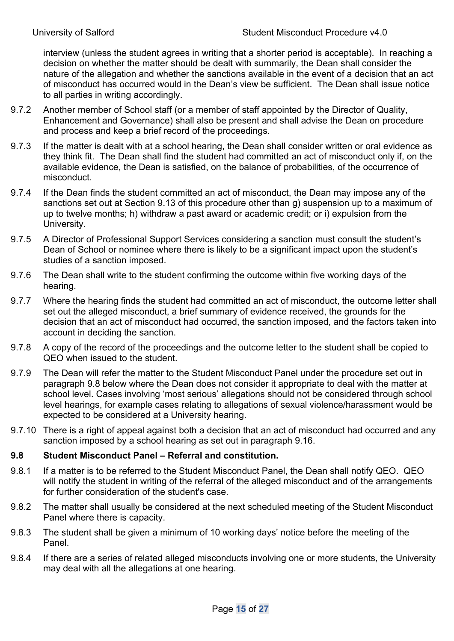interview (unless the student agrees in writing that a shorter period is acceptable). In reaching a decision on whether the matter should be dealt with summarily, the Dean shall consider the nature of the allegation and whether the sanctions available in the event of a decision that an act of misconduct has occurred would in the Dean's view be sufficient. The Dean shall issue notice to all parties in writing accordingly.

- 9.7.2 Another member of School staff (or a member of staff appointed by the Director of Quality, Enhancement and Governance) shall also be present and shall advise the Dean on procedure and process and keep a brief record of the proceedings.
- 9.7.3 If the matter is dealt with at a school hearing, the Dean shall consider written or oral evidence as they think fit. The Dean shall find the student had committed an act of misconduct only if, on the available evidence, the Dean is satisfied, on the balance of probabilities, of the occurrence of misconduct.
- 9.7.4 If the Dean finds the student committed an act of misconduct, the Dean may impose any of the sanctions set out at Section 9.13 of this procedure other than g) suspension up to a maximum of up to twelve months; h) withdraw a past award or academic credit; or i) expulsion from the University.
- 9.7.5 A Director of Professional Support Services considering a sanction must consult the student's Dean of School or nominee where there is likely to be a significant impact upon the student's studies of a sanction imposed.
- 9.7.6 The Dean shall write to the student confirming the outcome within five working days of the hearing.
- 9.7.7 Where the hearing finds the student had committed an act of misconduct, the outcome letter shall set out the alleged misconduct, a brief summary of evidence received, the grounds for the decision that an act of misconduct had occurred, the sanction imposed, and the factors taken into account in deciding the sanction.
- 9.7.8 A copy of the record of the proceedings and the outcome letter to the student shall be copied to QEO when issued to the student.
- 9.7.9 The Dean will refer the matter to the Student Misconduct Panel under the procedure set out in paragraph 9.8 below where the Dean does not consider it appropriate to deal with the matter at school level. Cases involving 'most serious' allegations should not be considered through school level hearings, for example cases relating to allegations of sexual violence/harassment would be expected to be considered at a University hearing.
- 9.7.10 There is a right of appeal against both a decision that an act of misconduct had occurred and any sanction imposed by a school hearing as set out in paragraph 9.16.

# **9.8 Student Misconduct Panel – Referral and constitution.**

- 9.8.1 If a matter is to be referred to the Student Misconduct Panel, the Dean shall notify QEO. QEO will notify the student in writing of the referral of the alleged misconduct and of the arrangements for further consideration of the student's case.
- 9.8.2 The matter shall usually be considered at the next scheduled meeting of the Student Misconduct Panel where there is capacity.
- 9.8.3 The student shall be given a minimum of 10 working days' notice before the meeting of the Panel.
- 9.8.4 If there are a series of related alleged misconducts involving one or more students, the University may deal with all the allegations at one hearing.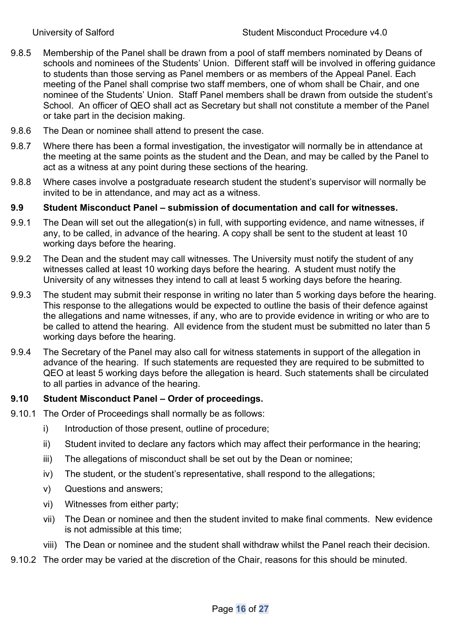- 9.8.5 Membership of the Panel shall be drawn from a pool of staff members nominated by Deans of schools and nominees of the Students' Union. Different staff will be involved in offering guidance to students than those serving as Panel members or as members of the Appeal Panel. Each meeting of the Panel shall comprise two staff members, one of whom shall be Chair, and one nominee of the Students' Union. Staff Panel members shall be drawn from outside the student's School. An officer of QEO shall act as Secretary but shall not constitute a member of the Panel or take part in the decision making.
- 9.8.6 The Dean or nominee shall attend to present the case.
- 9.8.7 Where there has been a formal investigation, the investigator will normally be in attendance at the meeting at the same points as the student and the Dean, and may be called by the Panel to act as a witness at any point during these sections of the hearing.
- 9.8.8 Where cases involve a postgraduate research student the student's supervisor will normally be invited to be in attendance, and may act as a witness.

# **9.9 Student Misconduct Panel – submission of documentation and call for witnesses.**

- 9.9.1 The Dean will set out the allegation(s) in full, with supporting evidence, and name witnesses, if any, to be called, in advance of the hearing. A copy shall be sent to the student at least 10 working days before the hearing.
- 9.9.2 The Dean and the student may call witnesses. The University must notify the student of any witnesses called at least 10 working days before the hearing. A student must notify the University of any witnesses they intend to call at least 5 working days before the hearing.
- 9.9.3 The student may submit their response in writing no later than 5 working days before the hearing. This response to the allegations would be expected to outline the basis of their defence against the allegations and name witnesses, if any, who are to provide evidence in writing or who are to be called to attend the hearing. All evidence from the student must be submitted no later than 5 working days before the hearing.
- 9.9.4 The Secretary of the Panel may also call for witness statements in support of the allegation in advance of the hearing. If such statements are requested they are required to be submitted to QEO at least 5 working days before the allegation is heard. Such statements shall be circulated to all parties in advance of the hearing.

## **9.10 Student Misconduct Panel – Order of proceedings.**

- 9.10.1 The Order of Proceedings shall normally be as follows:
	- i) Introduction of those present, outline of procedure;
	- ii) Student invited to declare any factors which may affect their performance in the hearing;
	- iii) The allegations of misconduct shall be set out by the Dean or nominee;
	- iv) The student, or the student's representative, shall respond to the allegations;
	- v) Questions and answers;
	- vi) Witnesses from either party;
	- vii) The Dean or nominee and then the student invited to make final comments. New evidence is not admissible at this time;
	- viii) The Dean or nominee and the student shall withdraw whilst the Panel reach their decision.
- 9.10.2 The order may be varied at the discretion of the Chair, reasons for this should be minuted.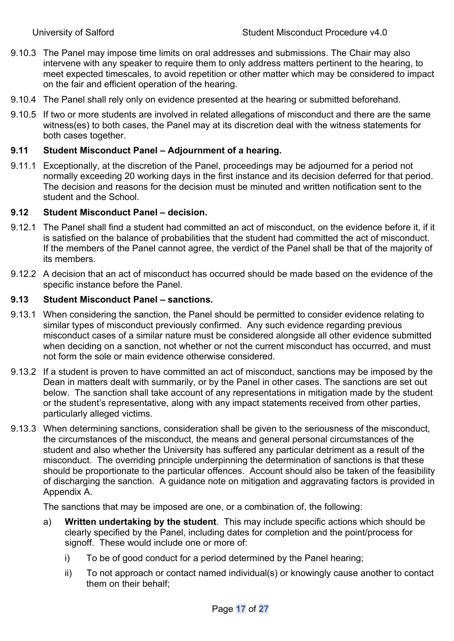- 9.10.3 The Panel may impose time limits on oral addresses and submissions. The Chair may also intervene with any speaker to require them to only address matters pertinent to the hearing, to meet expected timescales, to avoid repetition or other matter which may be considered to impact on the fair and efficient operation of the hearing.
- 9.10.4 The Panel shall rely only on evidence presented at the hearing or submitted beforehand.
- 9.10.5 If two or more students are involved in related allegations of misconduct and there are the same witness(es) to both cases, the Panel may at its discretion deal with the witness statements for both cases together.

# **9.11 Student Misconduct Panel – Adjournment of a hearing.**

9.11.1 Exceptionally, at the discretion of the Panel, proceedings may be adjourned for a period not normally exceeding 20 working days in the first instance and its decision deferred for that period. The decision and reasons for the decision must be minuted and written notification sent to the student and the School.

# **9.12 Student Misconduct Panel – decision.**

- 9.12.1 The Panel shall find a student had committed an act of misconduct, on the evidence before it, if it is satisfied on the balance of probabilities that the student had committed the act of misconduct. If the members of the Panel cannot agree, the verdict of the Panel shall be that of the majority of its members.
- 9.12.2 A decision that an act of misconduct has occurred should be made based on the evidence of the specific instance before the Panel.

# **9.13 Student Misconduct Panel – sanctions.**

- 9.13.1 When considering the sanction, the Panel should be permitted to consider evidence relating to similar types of misconduct previously confirmed. Any such evidence regarding previous misconduct cases of a similar nature must be considered alongside all other evidence submitted when deciding on a sanction, not whether or not the current misconduct has occurred, and must not form the sole or main evidence otherwise considered.
- 9.13.2 If a student is proven to have committed an act of misconduct, sanctions may be imposed by the Dean in matters dealt with summarily, or by the Panel in other cases. The sanctions are set out below. The sanction shall take account of any representations in mitigation made by the student or the student's representative, along with any impact statements received from other parties, particularly alleged victims.
- 9.13.3 When determining sanctions, consideration shall be given to the seriousness of the misconduct, the circumstances of the misconduct, the means and general personal circumstances of the student and also whether the University has suffered any particular detriment as a result of the misconduct. The overriding principle underpinning the determination of sanctions is that these should be proportionate to the particular offences. Account should also be taken of the feasibility of discharging the sanction. A guidance note on mitigation and aggravating factors is provided in Appendix A.

The sanctions that may be imposed are one, or a combination of, the following:

- a) **Written undertaking by the student**. This may include specific actions which should be clearly specified by the Panel, including dates for completion and the point/process for signoff. These would include one or more of:
	- i) To be of good conduct for a period determined by the Panel hearing;
	- ii) To not approach or contact named individual(s) or knowingly cause another to contact them on their behalf;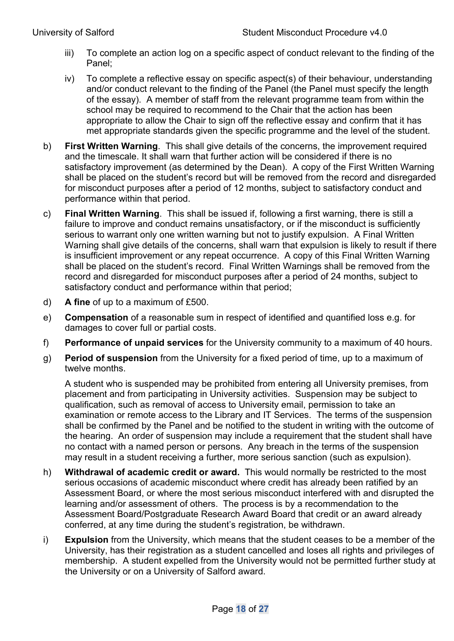- iii) To complete an action log on a specific aspect of conduct relevant to the finding of the Panel;
- iv) To complete a reflective essay on specific aspect(s) of their behaviour, understanding and/or conduct relevant to the finding of the Panel (the Panel must specify the length of the essay). A member of staff from the relevant programme team from within the school may be required to recommend to the Chair that the action has been appropriate to allow the Chair to sign off the reflective essay and confirm that it has met appropriate standards given the specific programme and the level of the student.
- b) **First Written Warning**. This shall give details of the concerns, the improvement required and the timescale. It shall warn that further action will be considered if there is no satisfactory improvement (as determined by the Dean). A copy of the First Written Warning shall be placed on the student's record but will be removed from the record and disregarded for misconduct purposes after a period of 12 months, subject to satisfactory conduct and performance within that period.
- c) **Final Written Warning**. This shall be issued if, following a first warning, there is still a failure to improve and conduct remains unsatisfactory, or if the misconduct is sufficiently serious to warrant only one written warning but not to justify expulsion. A Final Written Warning shall give details of the concerns, shall warn that expulsion is likely to result if there is insufficient improvement or any repeat occurrence. A copy of this Final Written Warning shall be placed on the student's record. Final Written Warnings shall be removed from the record and disregarded for misconduct purposes after a period of 24 months, subject to satisfactory conduct and performance within that period;
- d) **A fine** of up to a maximum of £500.
- e) **Compensation** of a reasonable sum in respect of identified and quantified loss e.g. for damages to cover full or partial costs.
- f) **Performance of unpaid services** for the University community to a maximum of 40 hours.
- g) **Period of suspension** from the University for a fixed period of time, up to a maximum of twelve months.

 A student who is suspended may be prohibited from entering all University premises, from placement and from participating in University activities. Suspension may be subject to qualification, such as removal of access to University email, permission to take an examination or remote access to the Library and IT Services. The terms of the suspension shall be confirmed by the Panel and be notified to the student in writing with the outcome of the hearing. An order of suspension may include a requirement that the student shall have no contact with a named person or persons. Any breach in the terms of the suspension may result in a student receiving a further, more serious sanction (such as expulsion).

- h) **Withdrawal of academic credit or award.** This would normally be restricted to the most serious occasions of academic misconduct where credit has already been ratified by an Assessment Board, or where the most serious misconduct interfered with and disrupted the learning and/or assessment of others. The process is by a recommendation to the Assessment Board/Postgraduate Research Award Board that credit or an award already conferred, at any time during the student's registration, be withdrawn.
- i) **Expulsion** from the University, which means that the student ceases to be a member of the University, has their registration as a student cancelled and loses all rights and privileges of membership. A student expelled from the University would not be permitted further study at the University or on a University of Salford award.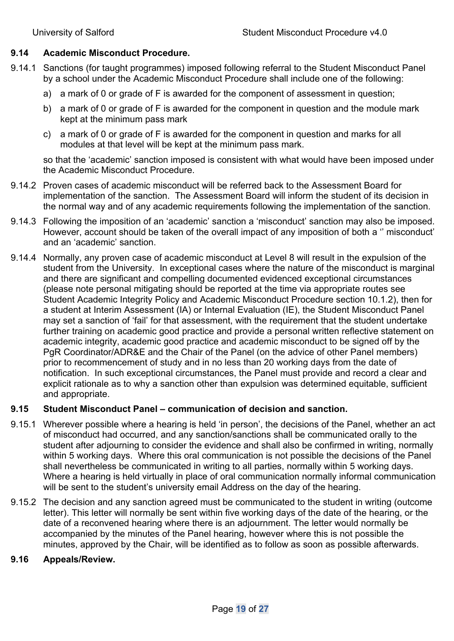#### **9.14 Academic Misconduct Procedure.**

- 9.14.1 Sanctions (for taught programmes) imposed following referral to the Student Misconduct Panel by a school under the Academic Misconduct Procedure shall include one of the following:
	- a) a mark of 0 or grade of F is awarded for the component of assessment in question;
	- b) a mark of 0 or grade of F is awarded for the component in question and the module mark kept at the minimum pass mark
	- c) a mark of 0 or grade of F is awarded for the component in question and marks for all modules at that level will be kept at the minimum pass mark.

so that the 'academic' sanction imposed is consistent with what would have been imposed under the Academic Misconduct Procedure.

- 9.14.2 Proven cases of academic misconduct will be referred back to the Assessment Board for implementation of the sanction. The Assessment Board will inform the student of its decision in the normal way and of any academic requirements following the implementation of the sanction.
- 9.14.3 Following the imposition of an 'academic' sanction a 'misconduct' sanction may also be imposed. However, account should be taken of the overall impact of any imposition of both a '' misconduct' and an 'academic' sanction.
- 9.14.4 Normally, any proven case of academic misconduct at Level 8 will result in the expulsion of the student from the University. In exceptional cases where the nature of the misconduct is marginal and there are significant and compelling documented evidenced exceptional circumstances (please note personal mitigating should be reported at the time via appropriate routes see Student Academic Integrity Policy and Academic Misconduct Procedure section 10.1.2), then for a student at Interim Assessment (IA) or Internal Evaluation (IE), the Student Misconduct Panel may set a sanction of 'fail' for that assessment, with the requirement that the student undertake further training on academic good practice and provide a personal written reflective statement on academic integrity, academic good practice and academic misconduct to be signed off by the PgR Coordinator/ADR&E and the Chair of the Panel (on the advice of other Panel members) prior to recommencement of study and in no less than 20 working days from the date of notification. In such exceptional circumstances, the Panel must provide and record a clear and explicit rationale as to why a sanction other than expulsion was determined equitable, sufficient and appropriate.

# **9.15 Student Misconduct Panel – communication of decision and sanction.**

- 9.15.1 Wherever possible where a hearing is held 'in person', the decisions of the Panel, whether an act of misconduct had occurred, and any sanction/sanctions shall be communicated orally to the student after adjourning to consider the evidence and shall also be confirmed in writing, normally within 5 working days. Where this oral communication is not possible the decisions of the Panel shall nevertheless be communicated in writing to all parties, normally within 5 working days. Where a hearing is held virtually in place of oral communication normally informal communication will be sent to the student's university email Address on the day of the hearing.
- 9.15.2 The decision and any sanction agreed must be communicated to the student in writing (outcome letter). This letter will normally be sent within five working days of the date of the hearing, or the date of a reconvened hearing where there is an adjournment. The letter would normally be accompanied by the minutes of the Panel hearing, however where this is not possible the minutes, approved by the Chair, will be identified as to follow as soon as possible afterwards.

#### **9.16 Appeals/Review.**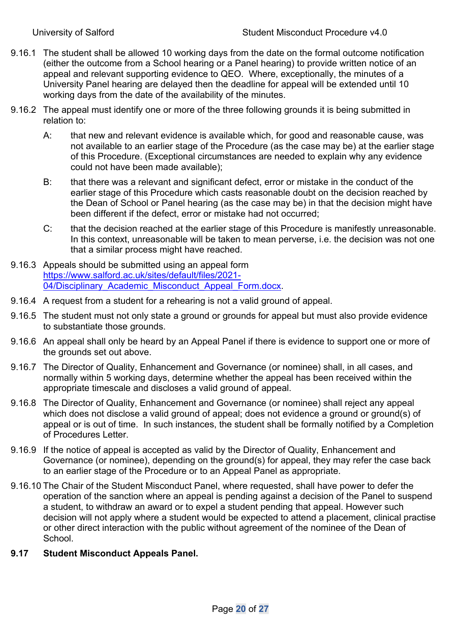- 9.16.1 The student shall be allowed 10 working days from the date on the formal outcome notification (either the outcome from a School hearing or a Panel hearing) to provide written notice of an appeal and relevant supporting evidence to QEO. Where, exceptionally, the minutes of a University Panel hearing are delayed then the deadline for appeal will be extended until 10 working days from the date of the availability of the minutes.
- 9.16.2 The appeal must identify one or more of the three following grounds it is being submitted in relation to:
	- A: that new and relevant evidence is available which, for good and reasonable cause, was not available to an earlier stage of the Procedure (as the case may be) at the earlier stage of this Procedure. (Exceptional circumstances are needed to explain why any evidence could not have been made available);
	- B: that there was a relevant and significant defect, error or mistake in the conduct of the earlier stage of this Procedure which casts reasonable doubt on the decision reached by the Dean of School or Panel hearing (as the case may be) in that the decision might have been different if the defect, error or mistake had not occurred;
	- C: that the decision reached at the earlier stage of this Procedure is manifestly unreasonable. In this context, unreasonable will be taken to mean perverse, i.e. the decision was not one that a similar process might have reached.
- 9.16.3 Appeals should be submitted using an appeal form https://www.salford.ac.uk/sites/default/files/2021- 04/Disciplinary Academic Misconduct Appeal Form.docx.
- 9.16.4 A request from a student for a rehearing is not a valid ground of appeal.
- 9.16.5 The student must not only state a ground or grounds for appeal but must also provide evidence to substantiate those grounds.
- 9.16.6 An appeal shall only be heard by an Appeal Panel if there is evidence to support one or more of the grounds set out above.
- 9.16.7 The Director of Quality, Enhancement and Governance (or nominee) shall, in all cases, and normally within 5 working days, determine whether the appeal has been received within the appropriate timescale and discloses a valid ground of appeal.
- 9.16.8 The Director of Quality, Enhancement and Governance (or nominee) shall reject any appeal which does not disclose a valid ground of appeal; does not evidence a ground or ground(s) of appeal or is out of time. In such instances, the student shall be formally notified by a Completion of Procedures Letter.
- 9.16.9 If the notice of appeal is accepted as valid by the Director of Quality, Enhancement and Governance (or nominee), depending on the ground(s) for appeal, they may refer the case back to an earlier stage of the Procedure or to an Appeal Panel as appropriate.
- 9.16.10 The Chair of the Student Misconduct Panel, where requested, shall have power to defer the operation of the sanction where an appeal is pending against a decision of the Panel to suspend a student, to withdraw an award or to expel a student pending that appeal. However such decision will not apply where a student would be expected to attend a placement, clinical practise or other direct interaction with the public without agreement of the nominee of the Dean of **School**
- **9.17 Student Misconduct Appeals Panel.**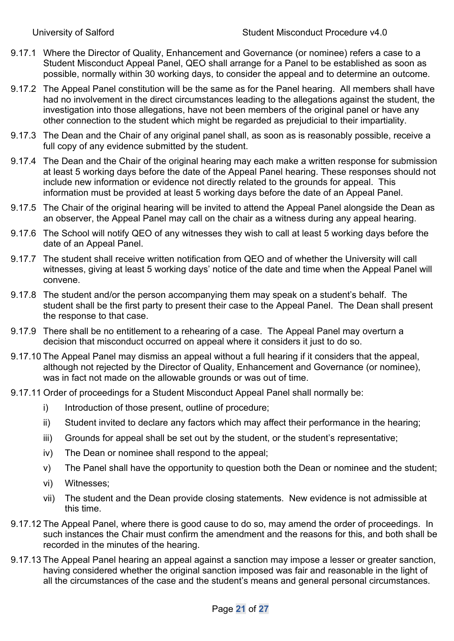- 9.17.1 Where the Director of Quality, Enhancement and Governance (or nominee) refers a case to a Student Misconduct Appeal Panel, QEO shall arrange for a Panel to be established as soon as possible, normally within 30 working days, to consider the appeal and to determine an outcome.
- 9.17.2 The Appeal Panel constitution will be the same as for the Panel hearing. All members shall have had no involvement in the direct circumstances leading to the allegations against the student, the investigation into those allegations, have not been members of the original panel or have any other connection to the student which might be regarded as prejudicial to their impartiality.
- 9.17.3 The Dean and the Chair of any original panel shall, as soon as is reasonably possible, receive a full copy of any evidence submitted by the student.
- 9.17.4 The Dean and the Chair of the original hearing may each make a written response for submission at least 5 working days before the date of the Appeal Panel hearing. These responses should not include new information or evidence not directly related to the grounds for appeal. This information must be provided at least 5 working days before the date of an Appeal Panel.
- 9.17.5 The Chair of the original hearing will be invited to attend the Appeal Panel alongside the Dean as an observer, the Appeal Panel may call on the chair as a witness during any appeal hearing.
- 9.17.6 The School will notify QEO of any witnesses they wish to call at least 5 working days before the date of an Appeal Panel.
- 9.17.7 The student shall receive written notification from QEO and of whether the University will call witnesses, giving at least 5 working days' notice of the date and time when the Appeal Panel will convene.
- 9.17.8 The student and/or the person accompanying them may speak on a student's behalf. The student shall be the first party to present their case to the Appeal Panel. The Dean shall present the response to that case.
- 9.17.9 There shall be no entitlement to a rehearing of a case. The Appeal Panel may overturn a decision that misconduct occurred on appeal where it considers it just to do so.
- 9.17.10 The Appeal Panel may dismiss an appeal without a full hearing if it considers that the appeal, although not rejected by the Director of Quality, Enhancement and Governance (or nominee), was in fact not made on the allowable grounds or was out of time.
- 9.17.11 Order of proceedings for a Student Misconduct Appeal Panel shall normally be:
	- i) Introduction of those present, outline of procedure;
	- ii) Student invited to declare any factors which may affect their performance in the hearing;
	- iii) Grounds for appeal shall be set out by the student, or the student's representative;
	- iv) The Dean or nominee shall respond to the appeal;
	- v) The Panel shall have the opportunity to question both the Dean or nominee and the student;
	- vi) Witnesses;
	- vii) The student and the Dean provide closing statements. New evidence is not admissible at this time.
- 9.17.12 The Appeal Panel, where there is good cause to do so, may amend the order of proceedings. In such instances the Chair must confirm the amendment and the reasons for this, and both shall be recorded in the minutes of the hearing.
- 9.17.13 The Appeal Panel hearing an appeal against a sanction may impose a lesser or greater sanction, having considered whether the original sanction imposed was fair and reasonable in the light of all the circumstances of the case and the student's means and general personal circumstances.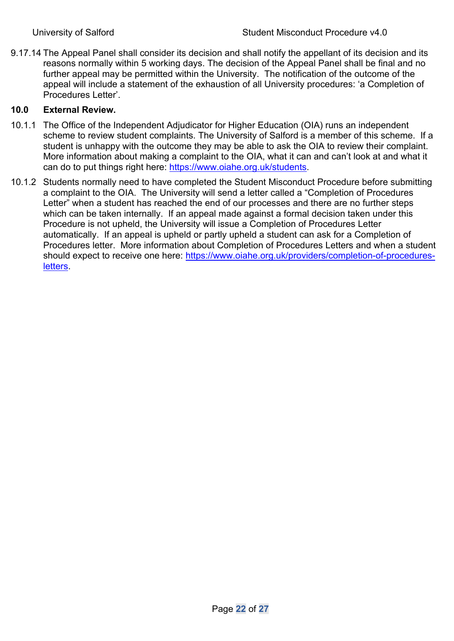9.17.14 The Appeal Panel shall consider its decision and shall notify the appellant of its decision and its reasons normally within 5 working days. The decision of the Appeal Panel shall be final and no further appeal may be permitted within the University. The notification of the outcome of the appeal will include a statement of the exhaustion of all University procedures: 'a Completion of Procedures Letter'.

# **10.0 External Review.**

- 10.1.1 The Office of the Independent Adjudicator for Higher Education (OIA) runs an independent scheme to review student complaints. The University of Salford is a member of this scheme. If a student is unhappy with the outcome they may be able to ask the OIA to review their complaint. More information about making a complaint to the OIA, what it can and can't look at and what it can do to put things right here: https://www.oiahe.org.uk/students.
- 10.1.2 Students normally need to have completed the Student Misconduct Procedure before submitting a complaint to the OIA. The University will send a letter called a "Completion of Procedures Letter" when a student has reached the end of our processes and there are no further steps which can be taken internally. If an appeal made against a formal decision taken under this Procedure is not upheld, the University will issue a Completion of Procedures Letter automatically. If an appeal is upheld or partly upheld a student can ask for a Completion of Procedures letter. More information about Completion of Procedures Letters and when a student should expect to receive one here: https://www.oiahe.org.uk/providers/completion-of-proceduresletters.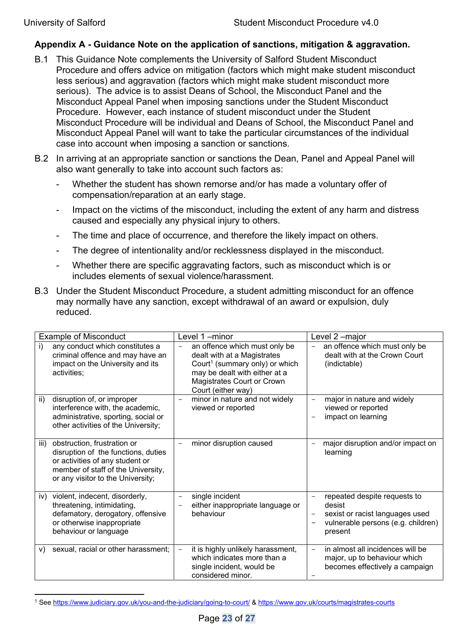# **Appendix A - Guidance Note on the application of sanctions, mitigation & aggravation.**

- B.1 This Guidance Note complements the University of Salford Student Misconduct Procedure and offers advice on mitigation (factors which might make student misconduct less serious) and aggravation (factors which might make student misconduct more serious). The advice is to assist Deans of School, the Misconduct Panel and the Misconduct Appeal Panel when imposing sanctions under the Student Misconduct Procedure. However, each instance of student misconduct under the Student Misconduct Procedure will be individual and Deans of School, the Misconduct Panel and Misconduct Appeal Panel will want to take the particular circumstances of the individual case into account when imposing a sanction or sanctions.
- B.2 In arriving at an appropriate sanction or sanctions the Dean, Panel and Appeal Panel will also want generally to take into account such factors as:
	- Whether the student has shown remorse and/or has made a voluntary offer of compensation/reparation at an early stage.
	- Impact on the victims of the misconduct, including the extent of any harm and distress caused and especially any physical injury to others.
	- The time and place of occurrence, and therefore the likely impact on others.
	- The degree of intentionality and/or recklessness displayed in the misconduct.
	- Whether there are specific aggravating factors, such as misconduct which is or includes elements of sexual violence/harassment.
- B.3 Under the Student Misconduct Procedure, a student admitting misconduct for an offence may normally have any sanction, except withdrawal of an award or expulsion, duly reduced.

| <b>Example of Misconduct</b>                                                                                                                                                             | Level 1-minor                                                                                                                                                                                   | Level 2-major                                                                                                              |  |
|------------------------------------------------------------------------------------------------------------------------------------------------------------------------------------------|-------------------------------------------------------------------------------------------------------------------------------------------------------------------------------------------------|----------------------------------------------------------------------------------------------------------------------------|--|
| any conduct which constitutes a<br>i)<br>criminal offence and may have an<br>impact on the University and its<br>activities;                                                             | an offence which must only be<br>dealt with at a Magistrates<br>Court <sup>1</sup> (summary only) or which<br>may be dealt with either at a<br>Magistrates Court or Crown<br>Court (either way) | an offence which must only be<br>dealt with at the Crown Court<br>(indictable)                                             |  |
| disruption of, or improper<br>ii)<br>interference with, the academic,<br>administrative, sporting, social or<br>other activities of the University;                                      | minor in nature and not widely<br>viewed or reported                                                                                                                                            | major in nature and widely<br>viewed or reported<br>impact on learning                                                     |  |
| obstruction, frustration or<br>iii)<br>disruption of the functions, duties<br>or activities of any student or<br>member of staff of the University,<br>or any visitor to the University; | minor disruption caused                                                                                                                                                                         | major disruption and/or impact on<br>learning                                                                              |  |
| violent, indecent, disorderly,<br>iv)<br>threatening, intimidating,<br>defamatory, derogatory, offensive<br>or otherwise inappropriate<br>behaviour or language                          | single incident<br>either inappropriate language or<br>behaviour                                                                                                                                | repeated despite requests to<br>desist<br>sexist or racist languages used<br>vulnerable persons (e.g. children)<br>present |  |
| sexual, racial or other harassment;<br>V)                                                                                                                                                | it is highly unlikely harassment,<br>which indicates more than a<br>single incident, would be<br>considered minor.                                                                              | in almost all incidences will be<br>major, up to behaviour which<br>becomes effectively a campaign                         |  |

<sup>1</sup> See https://www.judiciary.gov.uk/you-and-the-judiciary/going-to-court/ & https://www.gov.uk/courts/magistrates-courts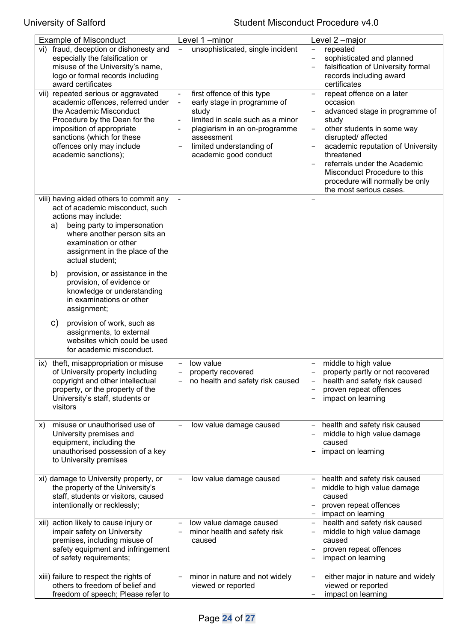# University of Salford **Student Misconduct Procedure v4.0**

| <b>Example of Misconduct</b>                                                 | Level 1-minor                                                 | Level 2-major                                                                 |
|------------------------------------------------------------------------------|---------------------------------------------------------------|-------------------------------------------------------------------------------|
| fraud, deception or dishonesty and<br>vi)<br>especially the falsification or | unsophisticated, single incident                              | repeated<br>sophisticated and planned                                         |
| misuse of the University's name,                                             |                                                               | falsification of University formal                                            |
| logo or formal records including                                             |                                                               | records including award                                                       |
| award certificates                                                           |                                                               | certificates                                                                  |
| vii) repeated serious or aggravated                                          | first offence of this type<br>$\blacksquare$                  | repeat offence on a later<br>$\overline{\phantom{0}}$                         |
| academic offences, referred under                                            | early stage in programme of<br>$\blacksquare$                 | occasion                                                                      |
| the Academic Misconduct                                                      | study                                                         | advanced stage in programme of                                                |
| Procedure by the Dean for the                                                | limited in scale such as a minor                              | study                                                                         |
| imposition of appropriate<br>sanctions (which for these                      | plagiarism in an on-programme<br>$\blacksquare$<br>assessment | other students in some way<br>$\overline{\phantom{a}}$<br>disrupted/ affected |
| offences only may include                                                    | limited understanding of                                      | academic reputation of University                                             |
| academic sanctions);                                                         | academic good conduct                                         | threatened                                                                    |
|                                                                              |                                                               | referrals under the Academic                                                  |
|                                                                              |                                                               | Misconduct Procedure to this                                                  |
|                                                                              |                                                               | procedure will normally be only                                               |
|                                                                              |                                                               | the most serious cases.                                                       |
| viii) having aided others to commit any<br>act of academic misconduct, such  |                                                               |                                                                               |
| actions may include:                                                         |                                                               |                                                                               |
| being party to impersonation<br>a)                                           |                                                               |                                                                               |
| where another person sits an                                                 |                                                               |                                                                               |
| examination or other                                                         |                                                               |                                                                               |
| assignment in the place of the                                               |                                                               |                                                                               |
| actual student;                                                              |                                                               |                                                                               |
| provision, or assistance in the<br>b)                                        |                                                               |                                                                               |
| provision, of evidence or                                                    |                                                               |                                                                               |
| knowledge or understanding                                                   |                                                               |                                                                               |
| in examinations or other                                                     |                                                               |                                                                               |
| assignment;                                                                  |                                                               |                                                                               |
| C)<br>provision of work, such as                                             |                                                               |                                                                               |
| assignments, to external                                                     |                                                               |                                                                               |
| websites which could be used<br>for academic misconduct.                     |                                                               |                                                                               |
|                                                                              |                                                               |                                                                               |
| ix) theft, misappropriation or misuse                                        | low value                                                     | middle to high value                                                          |
| of University property including                                             | property recovered                                            | property partly or not recovered                                              |
| copyright and other intellectual<br>property, or the property of the         | no health and safety risk caused                              | health and safety risk caused<br>proven repeat offences                       |
| University's staff, students or                                              |                                                               | impact on learning                                                            |
| visitors                                                                     |                                                               |                                                                               |
|                                                                              |                                                               |                                                                               |
| misuse or unauthorised use of<br>X)                                          | low value damage caused                                       | health and safety risk caused                                                 |
| University premises and                                                      |                                                               | middle to high value damage                                                   |
| equipment, including the                                                     |                                                               | caused                                                                        |
| unauthorised possession of a key<br>to University premises                   |                                                               | impact on learning                                                            |
|                                                                              |                                                               |                                                                               |
| xi) damage to University property, or                                        | low value damage caused                                       | health and safety risk caused                                                 |
| the property of the University's                                             |                                                               | middle to high value damage                                                   |
| staff, students or visitors, caused                                          |                                                               | caused                                                                        |
| intentionally or recklessly;                                                 |                                                               | proven repeat offences                                                        |
|                                                                              |                                                               | impact on learning                                                            |
| xii) action likely to cause injury or<br>impair safety on University         | low value damage caused<br>minor health and safety risk       | health and safety risk caused<br>middle to high value damage                  |
| premises, including misuse of                                                | caused                                                        | caused                                                                        |
| safety equipment and infringement                                            |                                                               | proven repeat offences                                                        |
| of safety requirements;                                                      |                                                               | impact on learning                                                            |
|                                                                              |                                                               |                                                                               |
| xiii) failure to respect the rights of                                       | minor in nature and not widely                                | either major in nature and widely<br>$\overline{\phantom{a}}$                 |
| others to freedom of belief and                                              | viewed or reported                                            | viewed or reported                                                            |
| freedom of speech; Please refer to                                           |                                                               | impact on learning                                                            |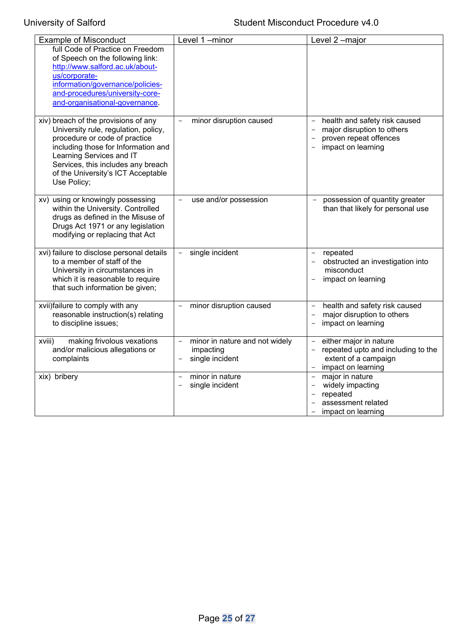# University of Salford **Student Misconduct Procedure v4.0**

| <b>Example of Misconduct</b>                                                                                                                                                                                                                                                | Level 1-minor                                                                                                   | Level 2-major                                                                                                                          |
|-----------------------------------------------------------------------------------------------------------------------------------------------------------------------------------------------------------------------------------------------------------------------------|-----------------------------------------------------------------------------------------------------------------|----------------------------------------------------------------------------------------------------------------------------------------|
| full Code of Practice on Freedom<br>of Speech on the following link:<br>http://www.salford.ac.uk/about-<br>us/corporate-<br>information/governance/policies-<br>and-procedures/university-core-<br>and-organisational-governance.                                           |                                                                                                                 |                                                                                                                                        |
| xiv) breach of the provisions of any<br>University rule, regulation, policy,<br>procedure or code of practice<br>including those for Information and<br>Learning Services and IT<br>Services, this includes any breach<br>of the University's ICT Acceptable<br>Use Policy; | minor disruption caused                                                                                         | health and safety risk caused<br>major disruption to others<br>proven repeat offences<br>impact on learning                            |
| xv) using or knowingly possessing<br>within the University. Controlled<br>drugs as defined in the Misuse of<br>Drugs Act 1971 or any legislation<br>modifying or replacing that Act                                                                                         | use and/or possession                                                                                           | possession of quantity greater<br>than that likely for personal use                                                                    |
| xvi) failure to disclose personal details<br>to a member of staff of the<br>University in circumstances in<br>which it is reasonable to require<br>that such information be given;                                                                                          | single incident<br>$\overline{\phantom{a}}$                                                                     | repeated<br>obstructed an investigation into<br>misconduct<br>impact on learning                                                       |
| xvii)failure to comply with any<br>reasonable instruction(s) relating<br>to discipline issues;                                                                                                                                                                              | minor disruption caused                                                                                         | health and safety risk caused<br>major disruption to others<br>impact on learning                                                      |
| making frivolous vexations<br>xviii)<br>and/or malicious allegations or<br>complaints                                                                                                                                                                                       | minor in nature and not widely<br>$\overline{\phantom{a}}$<br>impacting<br>single incident<br>$\qquad \qquad -$ | either major in nature<br>repeated upto and including to the<br>$\overline{\phantom{0}}$<br>extent of a campaign<br>impact on learning |
| xix) bribery                                                                                                                                                                                                                                                                | minor in nature<br>single incident                                                                              | major in nature<br>$\equiv$<br>widely impacting<br>repeated<br>assessment related<br>impact on learning                                |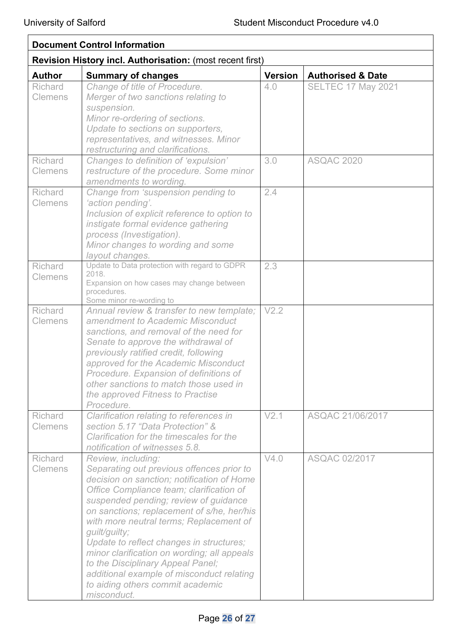| <b>Document Control Information</b>                       |                                                                                                                                                                                                                                                                                                                                                                                                                                                                                                                                              |                |                              |
|-----------------------------------------------------------|----------------------------------------------------------------------------------------------------------------------------------------------------------------------------------------------------------------------------------------------------------------------------------------------------------------------------------------------------------------------------------------------------------------------------------------------------------------------------------------------------------------------------------------------|----------------|------------------------------|
| Revision History incl. Authorisation: (most recent first) |                                                                                                                                                                                                                                                                                                                                                                                                                                                                                                                                              |                |                              |
| <b>Author</b>                                             | <b>Summary of changes</b>                                                                                                                                                                                                                                                                                                                                                                                                                                                                                                                    | <b>Version</b> | <b>Authorised &amp; Date</b> |
| <b>Richard</b><br><b>Clemens</b>                          | Change of title of Procedure.<br>Merger of two sanctions relating to<br>suspension.<br>Minor re-ordering of sections.<br>Update to sections on supporters,<br>representatives, and witnesses. Minor<br>restructuring and clarifications.                                                                                                                                                                                                                                                                                                     | 4.0            | <b>SELTEC 17 May 2021</b>    |
| Richard<br><b>Clemens</b>                                 | Changes to definition of 'expulsion'<br>restructure of the procedure. Some minor<br>amendments to wording.                                                                                                                                                                                                                                                                                                                                                                                                                                   | 3.0            | <b>ASQAC 2020</b>            |
| Richard<br>Clemens                                        | Change from 'suspension pending to<br>'action pending'.<br>Inclusion of explicit reference to option to<br>instigate formal evidence gathering<br>process (Investigation).<br>Minor changes to wording and some<br>layout changes.                                                                                                                                                                                                                                                                                                           | 2.4            |                              |
| <b>Richard</b><br><b>Clemens</b>                          | Update to Data protection with regard to GDPR<br>2018.<br>Expansion on how cases may change between<br>procedures.<br>Some minor re-wording to                                                                                                                                                                                                                                                                                                                                                                                               | 2.3            |                              |
| Richard<br><b>Clemens</b>                                 | Annual review & transfer to new template;<br>amendment to Academic Misconduct<br>sanctions, and removal of the need for<br>Senate to approve the withdrawal of<br>previously ratified credit, following<br>approved for the Academic Misconduct<br>Procedure. Expansion of definitions of<br>other sanctions to match those used in<br>the approved Fitness to Practise<br>Procedure.                                                                                                                                                        | V2.2           |                              |
| <b>Richard</b><br><b>Clemens</b>                          | Clarification relating to references in<br>section 5.17 "Data Protection" &<br>Clarification for the timescales for the<br>notification of witnesses 5.8.                                                                                                                                                                                                                                                                                                                                                                                    | V2.1           | ASQAC 21/06/2017             |
| <b>Richard</b><br><b>Clemens</b>                          | Review, including:<br>Separating out previous offences prior to<br>decision on sanction; notification of Home<br>Office Compliance team; clarification of<br>suspended pending; review of guidance<br>on sanctions; replacement of s/he, her/his<br>with more neutral terms; Replacement of<br>guilt/guilty;<br>Update to reflect changes in structures;<br>minor clarification on wording; all appeals<br>to the Disciplinary Appeal Panel;<br>additional example of misconduct relating<br>to aiding others commit academic<br>misconduct. | V4.0           | <b>ASQAC 02/2017</b>         |